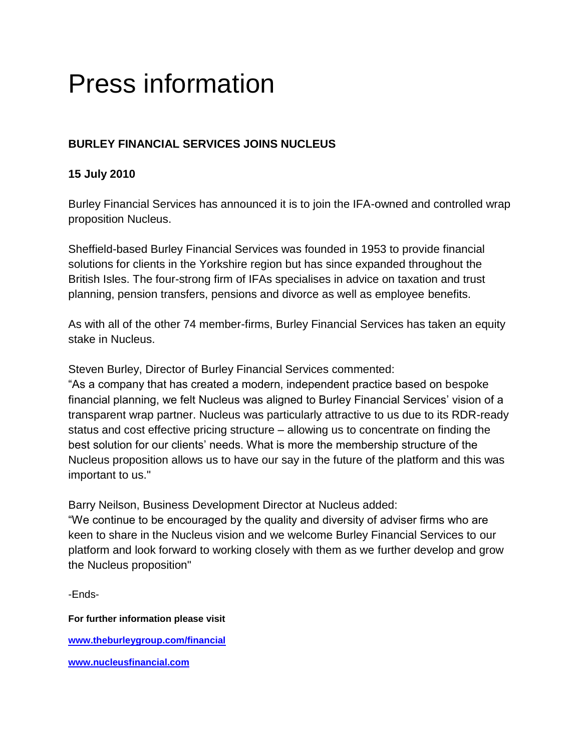## Press information

## **BURLEY FINANCIAL SERVICES JOINS NUCLEUS**

## **15 July 2010**

Burley Financial Services has announced it is to join the IFA-owned and controlled wrap proposition Nucleus.

Sheffield-based Burley Financial Services was founded in 1953 to provide financial solutions for clients in the Yorkshire region but has since expanded throughout the British Isles. The four-strong firm of IFAs specialises in advice on taxation and trust planning, pension transfers, pensions and divorce as well as employee benefits.

As with all of the other 74 member-firms, Burley Financial Services has taken an equity stake in Nucleus.

Steven Burley, Director of Burley Financial Services commented:

"As a company that has created a modern, independent practice based on bespoke financial planning, we felt Nucleus was aligned to Burley Financial Services' vision of a transparent wrap partner. Nucleus was particularly attractive to us due to its RDR-ready status and cost effective pricing structure – allowing us to concentrate on finding the best solution for our clients' needs. What is more the membership structure of the Nucleus proposition allows us to have our say in the future of the platform and this was important to us."

Barry Neilson, Business Development Director at Nucleus added:

"We continue to be encouraged by the quality and diversity of adviser firms who are keen to share in the Nucleus vision and we welcome Burley Financial Services to our platform and look forward to working closely with them as we further develop and grow the Nucleus proposition"

-Ends-

**For further information please visit [www.theburleygroup.com/financial](http://www.theburleygroup.com/financial) [www.nucleusfinancial.com](http://www.nucleusfinancial.com/)**